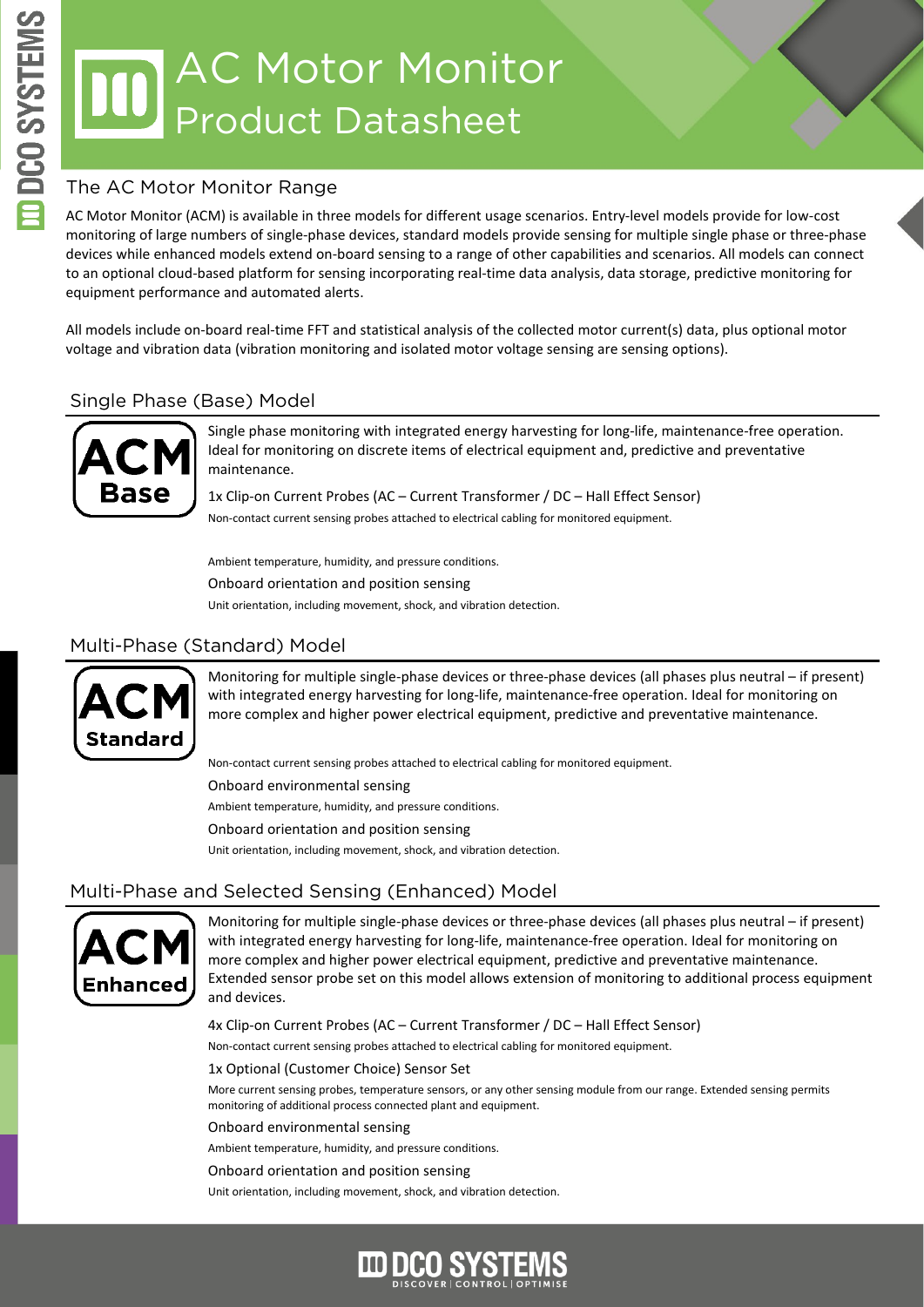# AC Motor Monitor Product Datasheet

#### The AC Motor Monitor Range

AC Motor Monitor (ACM) is available in three models for different usage scenarios. Entry-level models provide for low-cost monitoring of large numbers of single-phase devices, standard models provide sensing for multiple single phase or three-phase devices while enhanced models extend on-board sensing to a range of other capabilities and scenarios. All models can connect to an optional cloud-based platform for sensing incorporating real-time data analysis, data storage, predictive monitoring for equipment performance and automated alerts.

All models include on-board real-time FFT and statistical analysis of the collected motor current(s) data, plus optional motor voltage and vibration data (vibration monitoring and isolated motor voltage sensing are sensing options).

#### Single Phase (Base) Model



Single phase monitoring with integrated energy harvesting for long-life, maintenance-free operation. Ideal for monitoring on discrete items of electrical equipment and, predictive and preventative maintenance.

1x Clip-on Current Probes (AC – Current Transformer / DC – Hall Effect Sensor) Non-contact current sensing probes attached to electrical cabling for monitored equipment.

Ambient temperature, humidity, and pressure conditions.

Onboard orientation and position sensing

Unit orientation, including movement, shock, and vibration detection.

#### Multi-Phase (Standard) Model



Monitoring for multiple single-phase devices or three-phase devices (all phases plus neutral – if present) with integrated energy harvesting for long-life, maintenance-free operation. Ideal for monitoring on more complex and higher power electrical equipment, predictive and preventative maintenance.

Non-contact current sensing probes attached to electrical cabling for monitored equipment.

Onboard environmental sensing

Ambient temperature, humidity, and pressure conditions.

Onboard orientation and position sensing

Unit orientation, including movement, shock, and vibration detection.

#### Multi-Phase and Selected Sensing (Enhanced) Model



Monitoring for multiple single-phase devices or three-phase devices (all phases plus neutral – if present) with integrated energy harvesting for long-life, maintenance-free operation. Ideal for monitoring on more complex and higher power electrical equipment, predictive and preventative maintenance. Extended sensor probe set on this model allows extension of monitoring to additional process equipment and devices.

4x Clip-on Current Probes (AC – Current Transformer / DC – Hall Effect Sensor)

Non-contact current sensing probes attached to electrical cabling for monitored equipment.

1x Optional (Customer Choice) Sensor Set

More current sensing probes, temperature sensors, or any other sensing module from our range. Extended sensing permits monitoring of additional process connected plant and equipment.

Onboard environmental sensing

Ambient temperature, humidity, and pressure conditions.

Onboard orientation and position sensing

Unit orientation, including movement, shock, and vibration detection.

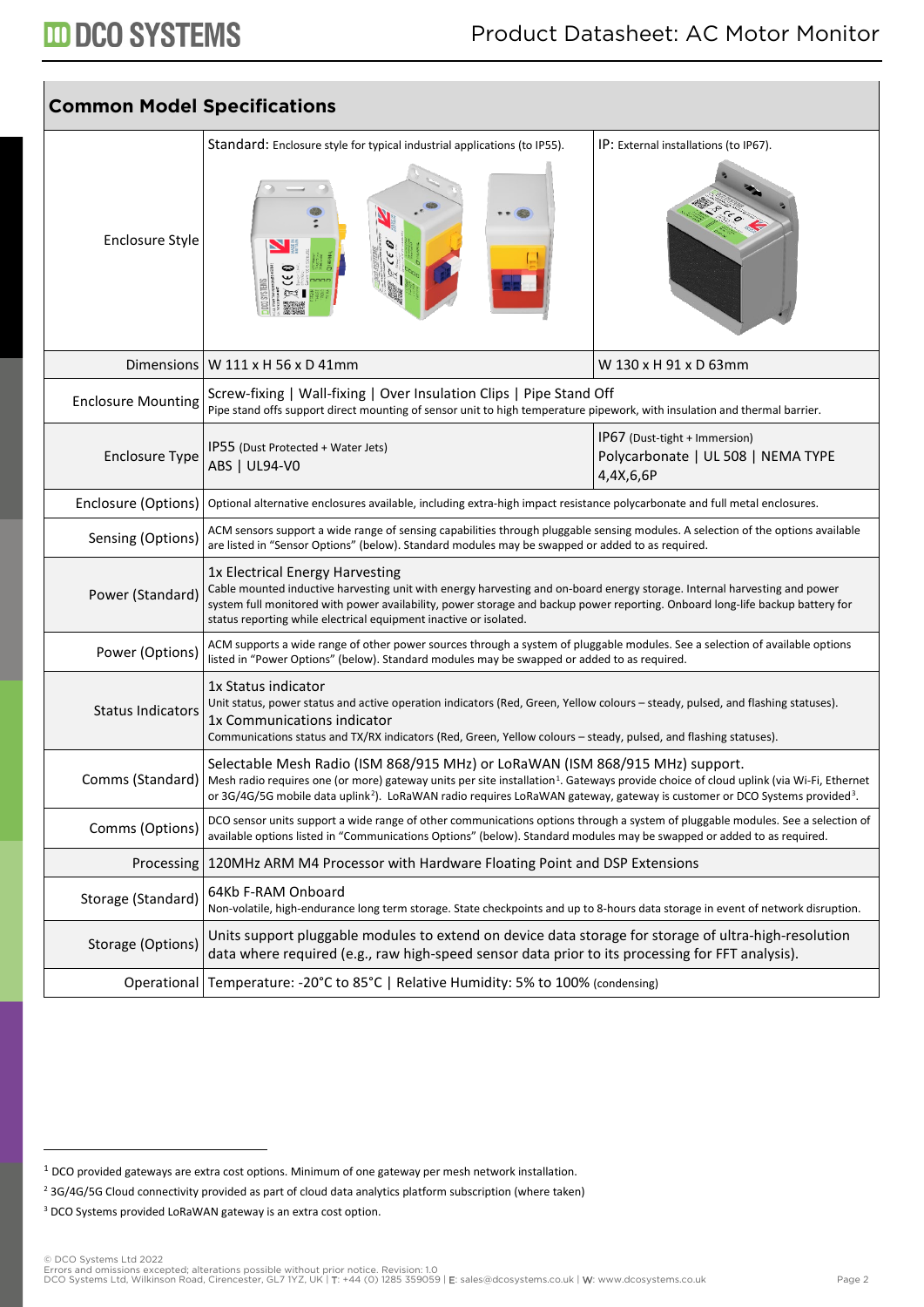# **III DCO SYSTEMS**

| <b>Common Model Specifications</b> |                                                                                                                                                                                                                                                                                                                                                                                                            |                                                                                  |  |  |
|------------------------------------|------------------------------------------------------------------------------------------------------------------------------------------------------------------------------------------------------------------------------------------------------------------------------------------------------------------------------------------------------------------------------------------------------------|----------------------------------------------------------------------------------|--|--|
| <b>Enclosure Style</b>             | Standard: Enclosure style for typical industrial applications (to IP55).                                                                                                                                                                                                                                                                                                                                   | IP: External installations (to IP67).                                            |  |  |
|                                    | Dimensions   W $111 \times H$ 56 x D 41mm                                                                                                                                                                                                                                                                                                                                                                  | W 130 x H 91 x D 63mm                                                            |  |  |
| <b>Enclosure Mounting</b>          | Screw-fixing   Wall-fixing   Over Insulation Clips   Pipe Stand Off<br>Pipe stand offs support direct mounting of sensor unit to high temperature pipework, with insulation and thermal barrier.                                                                                                                                                                                                           |                                                                                  |  |  |
| <b>Enclosure Type</b>              | IP55 (Dust Protected + Water Jets)<br>ABS   UL94-V0                                                                                                                                                                                                                                                                                                                                                        | IP67 (Dust-tight + Immersion)<br>Polycarbonate   UL 508   NEMA TYPE<br>4,4X,6,6P |  |  |
| Enclosure (Options)                | Optional alternative enclosures available, including extra-high impact resistance polycarbonate and full metal enclosures.                                                                                                                                                                                                                                                                                 |                                                                                  |  |  |
| Sensing (Options)                  | ACM sensors support a wide range of sensing capabilities through pluggable sensing modules. A selection of the options available<br>are listed in "Sensor Options" (below). Standard modules may be swapped or added to as required.                                                                                                                                                                       |                                                                                  |  |  |
| Power (Standard)                   | 1x Electrical Energy Harvesting<br>Cable mounted inductive harvesting unit with energy harvesting and on-board energy storage. Internal harvesting and power<br>system full monitored with power availability, power storage and backup power reporting. Onboard long-life backup battery for<br>status reporting while electrical equipment inactive or isolated.                                         |                                                                                  |  |  |
| Power (Options)                    | ACM supports a wide range of other power sources through a system of pluggable modules. See a selection of available options<br>listed in "Power Options" (below). Standard modules may be swapped or added to as required.                                                                                                                                                                                |                                                                                  |  |  |
| <b>Status Indicators</b>           | 1x Status indicator<br>Unit status, power status and active operation indicators (Red, Green, Yellow colours - steady, pulsed, and flashing statuses).<br>1x Communications indicator<br>Communications status and TX/RX indicators (Red, Green, Yellow colours - steady, pulsed, and flashing statuses).                                                                                                  |                                                                                  |  |  |
|                                    | Selectable Mesh Radio (ISM 868/915 MHz) or LoRaWAN (ISM 868/915 MHz) support.<br>Comms (Standard)   Mesh radio requires one (or more) gateway units per site installation <sup>1</sup> . Gateways provide choice of cloud uplink (via Wi-Fi, Ethernet<br>or 3G/4G/5G mobile data uplink <sup>2</sup> ). LoRaWAN radio requires LoRaWAN gateway, gateway is customer or DCO Systems provided <sup>3</sup> . |                                                                                  |  |  |
| Comms (Options)                    | DCO sensor units support a wide range of other communications options through a system of pluggable modules. See a selection of<br>available options listed in "Communications Options" (below). Standard modules may be swapped or added to as required.                                                                                                                                                  |                                                                                  |  |  |
| Processing                         | 120MHz ARM M4 Processor with Hardware Floating Point and DSP Extensions                                                                                                                                                                                                                                                                                                                                    |                                                                                  |  |  |
| Storage (Standard)                 | 64Kb F-RAM Onboard<br>Non-volatile, high-endurance long term storage. State checkpoints and up to 8-hours data storage in event of network disruption.                                                                                                                                                                                                                                                     |                                                                                  |  |  |
| Storage (Options)                  | Units support pluggable modules to extend on device data storage for storage of ultra-high-resolution<br>data where required (e.g., raw high-speed sensor data prior to its processing for FFT analysis).                                                                                                                                                                                                  |                                                                                  |  |  |
|                                    | Operational Temperature: -20°C to 85°C   Relative Humidity: 5% to 100% (condensing)                                                                                                                                                                                                                                                                                                                        |                                                                                  |  |  |

<span id="page-1-0"></span><sup>1</sup> DCO provided gateways are extra cost options. Minimum of one gateway per mesh network installation.

<span id="page-1-1"></span><sup>&</sup>lt;sup>2</sup> 3G/4G/5G Cloud connectivity provided as part of cloud data analytics platform subscription (where taken)

<span id="page-1-2"></span><sup>&</sup>lt;sup>3</sup> DCO Systems provided LoRaWAN gateway is an extra cost option.